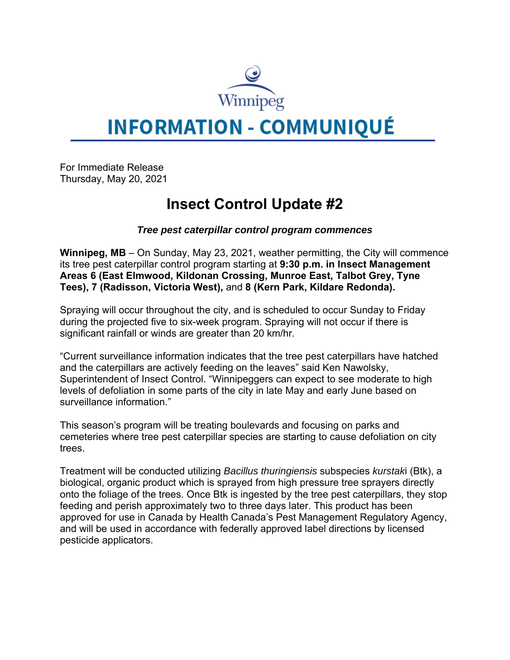

# **INFORMATION - COMMUNIQUÉ**

For Immediate Release Thursday, May 20, 2021

## **Insect Control Update #2**

### *Tree pest caterpillar control program commences*

**Winnipeg, MB** – On Sunday, May 23, 2021, weather permitting, the City will commence its tree pest caterpillar control program starting at **9:30 p.m. in Insect Management Areas 6 (East Elmwood, Kildonan Crossing, Munroe East, Talbot Grey, Tyne Tees), 7 (Radisson, Victoria West),** and **8 (Kern Park, Kildare Redonda).**

Spraying will occur throughout the city, and is scheduled to occur Sunday to Friday during the projected five to six-week program. Spraying will not occur if there is significant rainfall or winds are greater than 20 km/hr.

"Current surveillance information indicates that the tree pest caterpillars have hatched and the caterpillars are actively feeding on the leaves" said Ken Nawolsky, Superintendent of Insect Control. "Winnipeggers can expect to see moderate to high levels of defoliation in some parts of the city in late May and early June based on surveillance information."

This season's program will be treating boulevards and focusing on parks and cemeteries where tree pest caterpillar species are starting to cause defoliation on city trees.

Treatment will be conducted utilizing *Bacillus thuringiensis* subspecies *kurstak*i (Btk), a biological, organic product which is sprayed from high pressure tree sprayers directly onto the foliage of the trees. Once Btk is ingested by the tree pest caterpillars, they stop feeding and perish approximately two to three days later. This product has been approved for use in Canada by Health Canada's Pest Management Regulatory Agency, and will be used in accordance with federally approved label directions by licensed pesticide applicators.